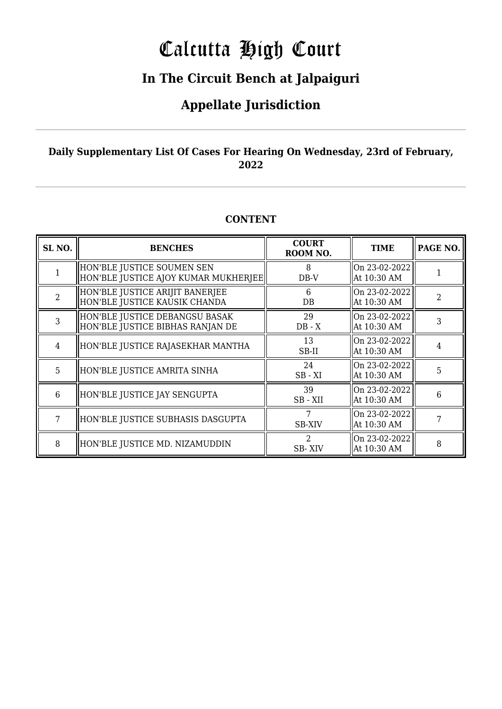# Calcutta High Court

### **In The Circuit Bench at Jalpaiguri**

### **Appellate Jurisdiction**

#### **Daily Supplementary List Of Cases For Hearing On Wednesday, 23rd of February, 2022**

#### **CONTENT**

| SL <sub>NO.</sub> | <b>BENCHES</b>                                                     | <b>COURT</b><br>ROOM NO. | <b>TIME</b>                  | PAGE NO.       |
|-------------------|--------------------------------------------------------------------|--------------------------|------------------------------|----------------|
|                   | HON'BLE JUSTICE SOUMEN SEN<br>HON'BLE JUSTICE AJOY KUMAR MUKHERJEE | 8<br>DB-V                | On 23-02-2022<br>At 10:30 AM |                |
| $\mathcal{D}$     | HON'BLE JUSTICE ARIJIT BANERJEE<br>HON'BLE JUSTICE KAUSIK CHANDA   | 6<br>DB                  | On 23-02-2022<br>At 10:30 AM | $\overline{2}$ |
| 3                 | HON'BLE JUSTICE DEBANGSU BASAK<br>HON'BLE JUSTICE BIBHAS RANJAN DE | 29<br>$DB - X$           | On 23-02-2022<br>At 10:30 AM | 3              |
| 4                 | HON'BLE JUSTICE RAJASEKHAR MANTHA                                  | 13<br>SB-II              | On 23-02-2022<br>At 10:30 AM | $\overline{4}$ |
| 5                 | HON'BLE JUSTICE AMRITA SINHA                                       | 24<br>$SB - XI$          | On 23-02-2022<br>At 10:30 AM | 5              |
| 6                 | HON'BLE JUSTICE JAY SENGUPTA                                       | 39<br>SB-XII             | On 23-02-2022<br>At 10:30 AM | 6              |
| 7                 | HON'BLE JUSTICE SUBHASIS DASGUPTA                                  | <b>SB-XIV</b>            | On 23-02-2022<br>At 10:30 AM |                |
| 8                 | HON'BLE JUSTICE MD. NIZAMUDDIN                                     | 2<br>SB-XIV              | On 23-02-2022<br>At 10:30 AM | 8              |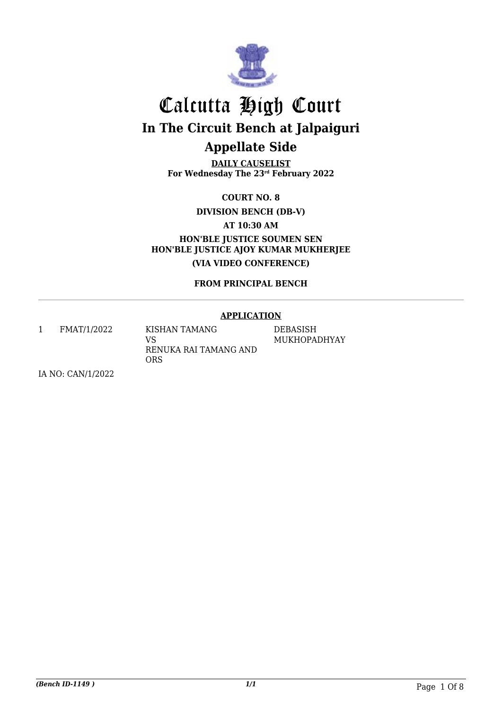

**DAILY CAUSELIST For Wednesday The 23rd February 2022**

**COURT NO. 8**

**DIVISION BENCH (DB-V)**

**AT 10:30 AM**

**HON'BLE JUSTICE SOUMEN SEN HON'BLE JUSTICE AJOY KUMAR MUKHERJEE (VIA VIDEO CONFERENCE)**

**FROM PRINCIPAL BENCH**

#### **APPLICATION**

1 FMAT/1/2022 KISHAN TAMANG VS RENUKA RAI TAMANG AND

ORS

DEBASISH MUKHOPADHYAY

IA NO: CAN/1/2022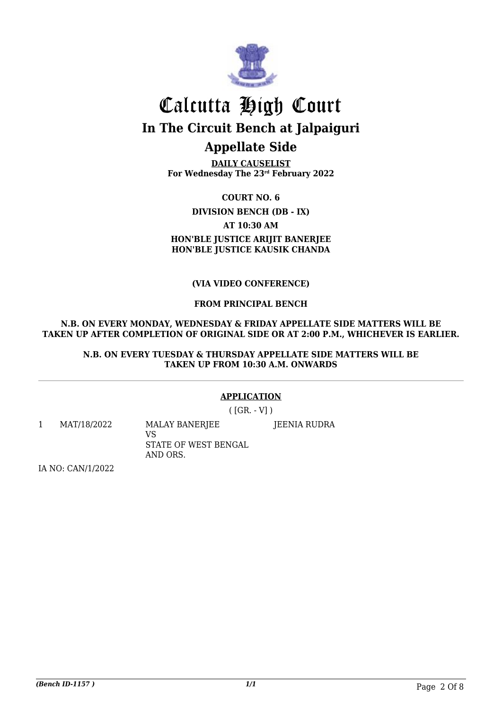

**DAILY CAUSELIST For Wednesday The 23rd February 2022**

**COURT NO. 6 DIVISION BENCH (DB - IX) AT 10:30 AM HON'BLE JUSTICE ARIJIT BANERJEE HON'BLE JUSTICE KAUSIK CHANDA**

#### **(VIA VIDEO CONFERENCE)**

#### **FROM PRINCIPAL BENCH**

#### **N.B. ON EVERY MONDAY, WEDNESDAY & FRIDAY APPELLATE SIDE MATTERS WILL BE TAKEN UP AFTER COMPLETION OF ORIGINAL SIDE OR AT 2:00 P.M., WHICHEVER IS EARLIER.**

#### **N.B. ON EVERY TUESDAY & THURSDAY APPELLATE SIDE MATTERS WILL BE TAKEN UP FROM 10:30 A.M. ONWARDS**

#### **APPLICATION**

 $([GR. -V])$ 

1 MAT/18/2022 MALAY BANERJEE VS STATE OF WEST BENGAL AND ORS. JEENIA RUDRA

IA NO: CAN/1/2022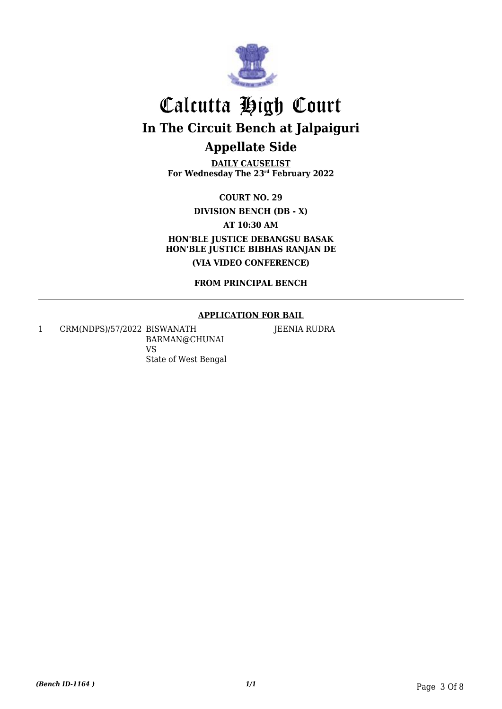

**DAILY CAUSELIST For Wednesday The 23rd February 2022**

**COURT NO. 29 DIVISION BENCH (DB - X) AT 10:30 AM HON'BLE JUSTICE DEBANGSU BASAK HON'BLE JUSTICE BIBHAS RANJAN DE (VIA VIDEO CONFERENCE)**

**FROM PRINCIPAL BENCH**

#### **APPLICATION FOR BAIL**

1 CRM(NDPS)/57/2022 BISWANATH BARMAN@CHUNAI VS State of West Bengal

JEENIA RUDRA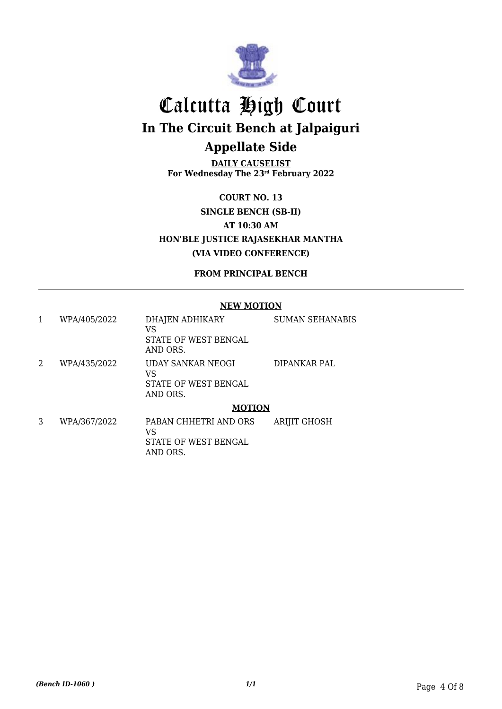

**DAILY CAUSELIST For Wednesday The 23rd February 2022**

**COURT NO. 13 SINGLE BENCH (SB-II) AT 10:30 AM HON'BLE JUSTICE RAJASEKHAR MANTHA (VIA VIDEO CONFERENCE)**

**FROM PRINCIPAL BENCH**

#### **NEW MOTION**

| 1 | WPA/405/2022 | DHAJEN ADHIKARY<br>VS<br>STATE OF WEST BENGAL<br>AND ORS.   | <b>SUMAN SEHANABIS</b> |
|---|--------------|-------------------------------------------------------------|------------------------|
| 2 | WPA/435/2022 | UDAY SANKAR NEOGI<br>VS<br>STATE OF WEST BENGAL<br>AND ORS. | DIPANKAR PAL           |
|   |              | <b>MOTION</b>                                               |                        |
| 3 | WPA/367/2022 | PABAN CHHETRI AND ORS<br>VS<br>STATE OF WEST BENGAL         | <b>ARIJIT GHOSH</b>    |

AND ORS.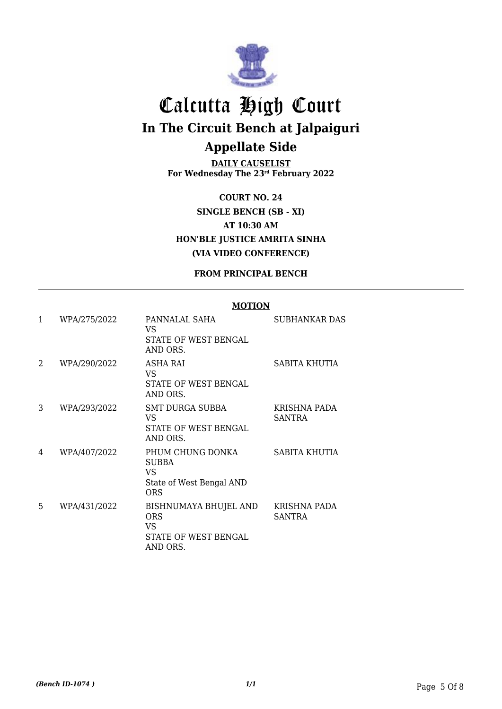

**DAILY CAUSELIST For Wednesday The 23rd February 2022**

**COURT NO. 24 SINGLE BENCH (SB - XI) AT 10:30 AM HON'BLE JUSTICE AMRITA SINHA (VIA VIDEO CONFERENCE)**

#### **FROM PRINCIPAL BENCH**

#### **MOTION**

| 1              | WPA/275/2022 | PANNALAL SAHA<br>VS.<br>STATE OF WEST BENGAL<br>AND ORS.                          | SUBHANKAR DAS                 |
|----------------|--------------|-----------------------------------------------------------------------------------|-------------------------------|
| $\overline{2}$ | WPA/290/2022 | ASHA RAI<br>VS.<br>STATE OF WEST BENGAL<br>AND ORS.                               | SABITA KHUTIA                 |
| 3              | WPA/293/2022 | <b>SMT DURGA SUBBA</b><br>VS.<br>STATE OF WEST BENGAL<br>AND ORS.                 | KRISHNA PADA<br><b>SANTRA</b> |
| 4              | WPA/407/2022 | PHUM CHUNG DONKA<br><b>SUBBA</b><br>VS.<br>State of West Bengal AND<br><b>ORS</b> | SABITA KHUTIA                 |
| 5              | WPA/431/2022 | BISHNUMAYA BHUJEL AND<br><b>ORS</b><br>VS.<br>STATE OF WEST BENGAL<br>AND ORS.    | KRISHNA PADA<br><b>SANTRA</b> |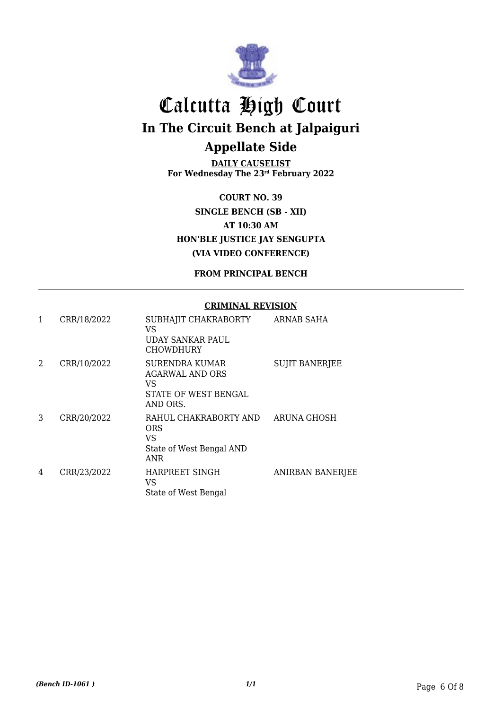

**DAILY CAUSELIST For Wednesday The 23rd February 2022**

**COURT NO. 39 SINGLE BENCH (SB - XII) AT 10:30 AM HON'BLE JUSTICE JAY SENGUPTA (VIA VIDEO CONFERENCE)**

**FROM PRINCIPAL BENCH**

#### **CRIMINAL REVISION**

| 1 | CRR/18/2022 | SUBHAJIT CHAKRABORTY<br>VS<br>UDAY SANKAR PAUL<br><b>CHOWDHURY</b>                 | ARNAB SAHA              |
|---|-------------|------------------------------------------------------------------------------------|-------------------------|
| 2 | CRR/10/2022 | SURENDRA KUMAR<br><b>AGARWAL AND ORS</b><br>VS<br>STATE OF WEST BENGAL<br>AND ORS. | <b>SUJIT BANERJEE</b>   |
| 3 | CRR/20/2022 | RAHUL CHAKRABORTY AND<br>ORS<br>VS<br>State of West Bengal AND<br><b>ANR</b>       | ARUNA GHOSH             |
| 4 | CRR/23/2022 | HARPREET SINGH<br>VS<br>State of West Bengal                                       | <b>ANIRBAN BANERJEE</b> |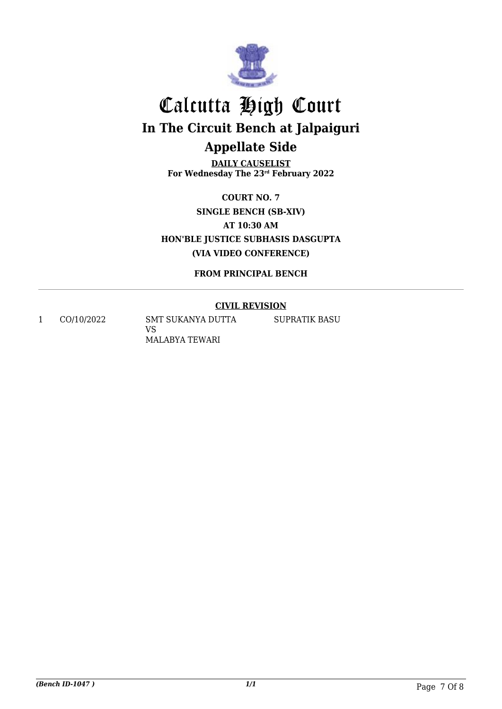

**DAILY CAUSELIST For Wednesday The 23rd February 2022**

**COURT NO. 7 SINGLE BENCH (SB-XIV) AT 10:30 AM HON'BLE JUSTICE SUBHASIS DASGUPTA (VIA VIDEO CONFERENCE)**

**FROM PRINCIPAL BENCH**

#### **CIVIL REVISION**

1 CO/10/2022 SMT SUKANYA DUTTA VS MALABYA TEWARI

SUPRATIK BASU